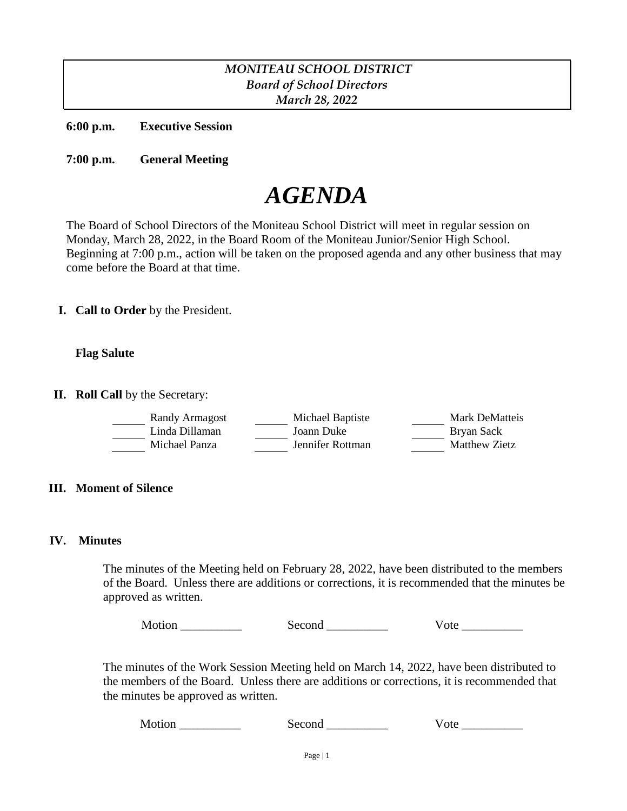# *MONITEAU SCHOOL DISTRICT Board of School Directors March 28, 2022*

**6:00 p.m. Executive Session**

**7:00 p.m. General Meeting**

# *AGENDA*

The Board of School Directors of the Moniteau School District will meet in regular session on Monday, March 28, 2022, in the Board Room of the Moniteau Junior/Senior High School. Beginning at 7:00 p.m., action will be taken on the proposed agenda and any other business that may come before the Board at that time.

**I. Call to Order** by the President.

# **Flag Salute**

**II. Roll Call** by the Secretary:

| Randy Armagost | Michael Baptiste | Mark DeMatteis |
|----------------|------------------|----------------|
| Linda Dillaman | Joann Duke       | Bryan Sack     |
| Michael Panza  | Jennifer Rottman | Matthew Zietz  |

# **III. Moment of Silence**

#### **IV. Minutes**

The minutes of the Meeting held on February 28, 2022, have been distributed to the members of the Board. Unless there are additions or corrections, it is recommended that the minutes be approved as written.

Motion \_\_\_\_\_\_\_\_\_\_\_\_\_\_ Second \_\_\_\_\_\_\_\_\_\_ Vote \_\_\_\_\_\_\_\_\_

The minutes of the Work Session Meeting held on March 14, 2022, have been distributed to the members of the Board. Unless there are additions or corrections, it is recommended that the minutes be approved as written.

Motion \_\_\_\_\_\_\_\_\_\_ Second \_\_\_\_\_\_\_\_\_\_ Vote \_\_\_\_\_\_\_\_\_\_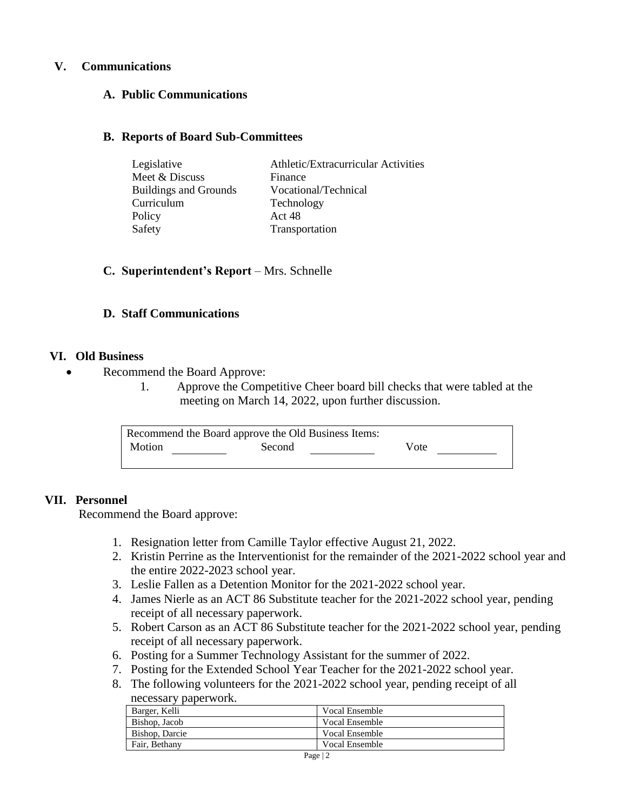# **V. Communications**

# **A. Public Communications**

#### **B. Reports of Board Sub-Committees**

| Legislative                  | Athletic/Extracurricular Activities |
|------------------------------|-------------------------------------|
| Meet & Discuss               | Finance                             |
| <b>Buildings and Grounds</b> | Vocational/Technical                |
| Curriculum                   | Technology                          |
| Policy                       | Act 48                              |
| Safety                       | Transportation                      |

# **C. Superintendent's Report** – Mrs. Schnelle

#### **D. Staff Communications**

#### **VI. Old Business**

- Recommend the Board Approve:
	- 1. Approve the Competitive Cheer board bill checks that were tabled at the meeting on March 14, 2022, upon further discussion.

| Recommend the Board approve the Old Business Items: |        |      |  |
|-----------------------------------------------------|--------|------|--|
| Motion                                              | Second | Vote |  |
|                                                     |        |      |  |

# **VII. Personnel**

Recommend the Board approve:

- 1. Resignation letter from Camille Taylor effective August 21, 2022.
- 2. Kristin Perrine as the Interventionist for the remainder of the 2021-2022 school year and the entire 2022-2023 school year.
- 3. Leslie Fallen as a Detention Monitor for the 2021-2022 school year.
- 4. James Nierle as an ACT 86 Substitute teacher for the 2021-2022 school year, pending receipt of all necessary paperwork.
- 5. Robert Carson as an ACT 86 Substitute teacher for the 2021-2022 school year, pending receipt of all necessary paperwork.
- 6. Posting for a Summer Technology Assistant for the summer of 2022.
- 7. Posting for the Extended School Year Teacher for the 2021-2022 school year.
- 8. The following volunteers for the 2021-2022 school year, pending receipt of all necessary paperwork.

| Barger, Kelli  | Vocal Ensemble        |
|----------------|-----------------------|
| Bishop, Jacob  | <b>Vocal Ensemble</b> |
| Bishop, Darcie | <b>Vocal Ensemble</b> |
| Fair, Bethany  | <b>Vocal Ensemble</b> |
|                |                       |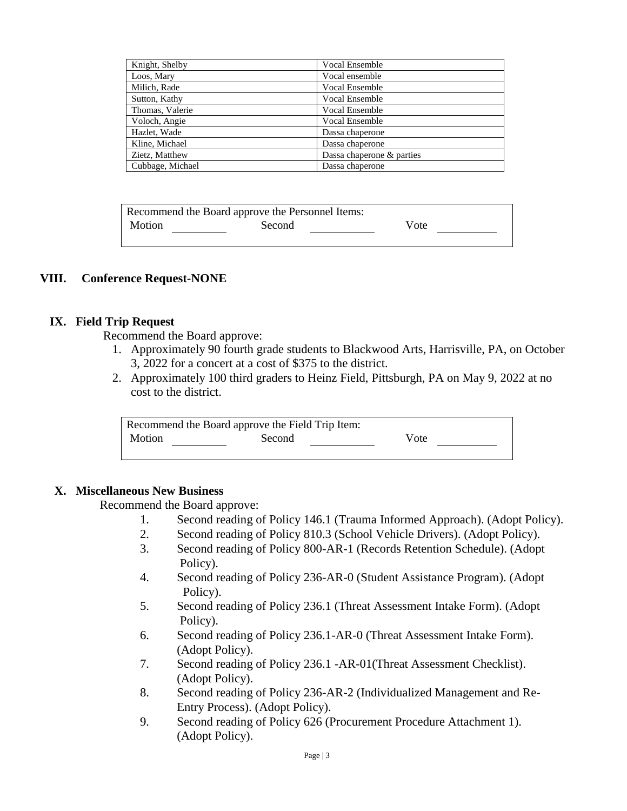| Knight, Shelby   | Vocal Ensemble            |
|------------------|---------------------------|
| Loos, Mary       | Vocal ensemble            |
| Milich, Rade     | Vocal Ensemble            |
| Sutton, Kathy    | Vocal Ensemble            |
| Thomas, Valerie  | Vocal Ensemble            |
| Voloch, Angie    | Vocal Ensemble            |
| Hazlet, Wade     | Dassa chaperone           |
| Kline, Michael   | Dassa chaperone           |
| Zietz, Matthew   | Dassa chaperone & parties |
| Cubbage, Michael | Dassa chaperone           |

| Recommend the Board approve the Personnel Items: |        |      |  |
|--------------------------------------------------|--------|------|--|
| Motion                                           | Second | Vote |  |

#### **VIII. Conference Request-NONE**

#### **IX. Field Trip Request**

Recommend the Board approve:

- 1. Approximately 90 fourth grade students to Blackwood Arts, Harrisville, PA, on October 3, 2022 for a concert at a cost of \$375 to the district.
- 2. Approximately 100 third graders to Heinz Field, Pittsburgh, PA on May 9, 2022 at no cost to the district.

| Recommend the Board approve the Field Trip Item: |        |      |  |
|--------------------------------------------------|--------|------|--|
| Motion                                           | Second | Vote |  |

#### **X. Miscellaneous New Business**

Recommend the Board approve:

- 1. Second reading of Policy 146.1 (Trauma Informed Approach). (Adopt Policy).
- 2. Second reading of Policy 810.3 (School Vehicle Drivers). (Adopt Policy).
- 3. Second reading of Policy 800-AR-1 (Records Retention Schedule). (Adopt Policy).
- 4. Second reading of Policy 236-AR-0 (Student Assistance Program). (Adopt Policy).
- 5. Second reading of Policy 236.1 (Threat Assessment Intake Form). (Adopt Policy).
- 6. Second reading of Policy 236.1-AR-0 (Threat Assessment Intake Form). (Adopt Policy).
- 7. Second reading of Policy 236.1 -AR-01(Threat Assessment Checklist). (Adopt Policy).
- 8. Second reading of Policy 236-AR-2 (Individualized Management and Re- Entry Process). (Adopt Policy).
- 9. Second reading of Policy 626 (Procurement Procedure Attachment 1). (Adopt Policy).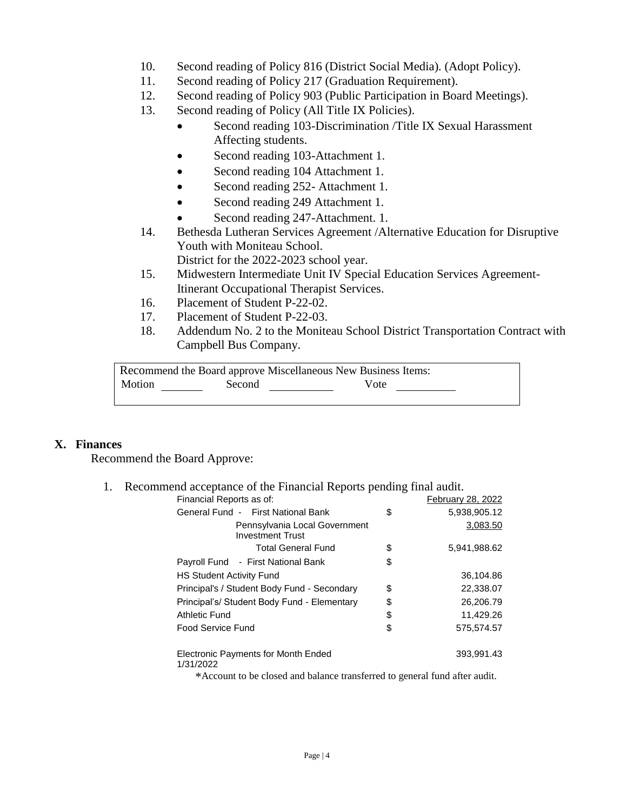- 10. Second reading of Policy 816 (District Social Media). (Adopt Policy).
- 11. Second reading of Policy 217 (Graduation Requirement).
- 12. Second reading of Policy 903 (Public Participation in Board Meetings).
- 13. Second reading of Policy (All Title IX Policies).
	- Second reading 103-Discrimination /Title IX Sexual Harassment Affecting students.
	- Second reading 103-Attachment 1.
	- Second reading 104 Attachment 1.
	- Second reading 252- Attachment 1.
	- Second reading 249 Attachment 1.
	- Second reading 247-Attachment. 1.
- 14. Bethesda Lutheran Services Agreement /Alternative Education for Disruptive Youth with Moniteau School.

District for the 2022-2023 school year.

- 15. Midwestern Intermediate Unit IV Special Education Services Agreement- Itinerant Occupational Therapist Services.
- 16. Placement of Student P-22-02.
- 17. Placement of Student P-22-03.
- 18. Addendum No. 2 to the Moniteau School District Transportation Contract with Campbell Bus Company.

Recommend the Board approve Miscellaneous New Business Items: Motion Second Vote Vote

# **X. Finances**

Recommend the Board Approve:

1. Recommend acceptance of the Financial Reports pending final audit.

| Financial Reports as of:                                                   | February 28, 2022  |
|----------------------------------------------------------------------------|--------------------|
| General Fund - First National Bank                                         | \$<br>5,938,905.12 |
| Pennsylvania Local Government<br><b>Investment Trust</b>                   | 3,083.50           |
| <b>Total General Fund</b>                                                  | \$<br>5,941,988.62 |
| Payroll Fund - First National Bank                                         | \$                 |
| <b>HS Student Activity Fund</b>                                            | 36,104.86          |
| Principal's / Student Body Fund - Secondary                                | \$<br>22,338.07    |
| Principal's/ Student Body Fund - Elementary                                | \$<br>26,206.79    |
| Athletic Fund                                                              | \$<br>11,429.26    |
| Food Service Fund                                                          | \$<br>575.574.57   |
| Electronic Payments for Month Ended<br>1/31/2022                           | 393,991.43         |
| *Account to be closed and balance transferred to general fund after audit. |                    |